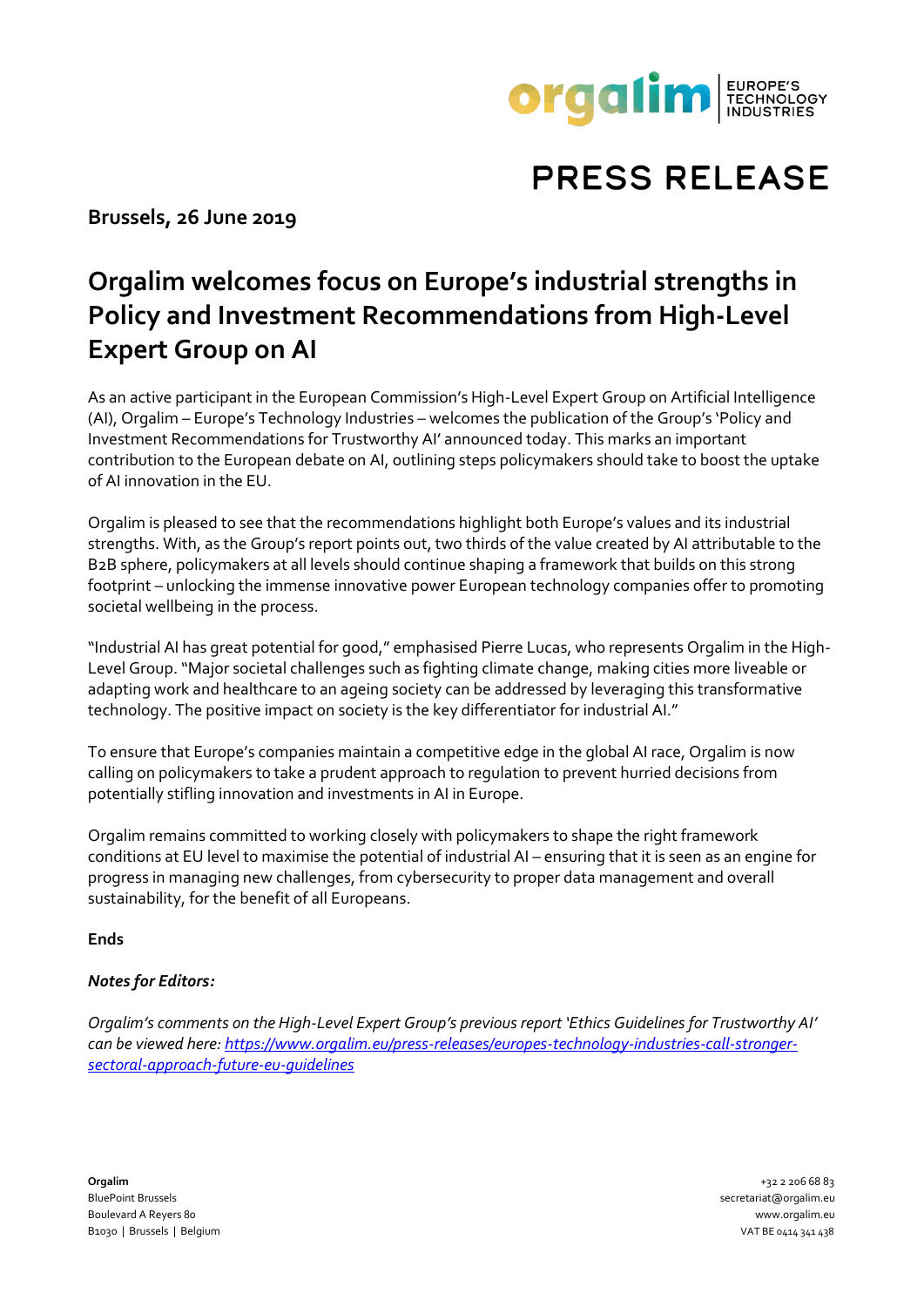

## **PRESS RELEASE**

**Brussels, 26 June 2019**

## **Orgalim welcomes focus on Europe's industrial strengths in Policy and Investment Recommendations from High-Level Expert Group on AI**

As an active participant in the European Commission's High-Level Expert Group on Artificial Intelligence (AI), Orgalim – Europe's Technology Industries – welcomes the publication of the Group's 'Policy and Investment Recommendations for Trustworthy AI' announced today. This marks an important contribution to the European debate on AI, outlining steps policymakers should take to boost the uptake of AI innovation in the EU.

Orgalim is pleased to see that the recommendations highlight both Europe's values and its industrial strengths. With, as the Group's report points out, two thirds of the value created by AI attributable to the B2B sphere, policymakers at all levels should continue shaping a framework that builds on this strong footprint – unlocking the immense innovative power European technology companies offer to promoting societal wellbeing in the process.

"Industrial AI has great potential for good," emphasised Pierre Lucas, who represents Orgalim in the High-Level Group. "Major societal challenges such as fighting climate change, making cities more liveable or adapting work and healthcare to an ageing society can be addressed by leveraging this transformative technology. The positive impact on society is the key differentiator for industrial AI."

To ensure that Europe's companies maintain a competitive edge in the global AI race, Orgalim is now calling on policymakers to take a prudent approach to regulation to prevent hurried decisions from potentially stifling innovation and investments in AI in Europe.

Orgalim remains committed to working closely with policymakers to shape the right framework conditions at EU level to maximise the potential of industrial AI – ensuring that it is seen as an engine for progress in managing new challenges, from cybersecurity to proper data management and overall sustainability, for the benefit of all Europeans.

**Ends**

## *Notes for Editors:*

*Orgalim's comments on the High-Level Expert Group's previous report 'Ethics Guidelines for Trustworthy AI' can be viewed here: [https://www.orgalim.eu/press-releases/europes-technology-industries-call-stronger](https://www.orgalim.eu/press-releases/europes-technology-industries-call-stronger-sectoral-approach-future-eu-guidelines)[sectoral-approach-future-eu-guidelines](https://www.orgalim.eu/press-releases/europes-technology-industries-call-stronger-sectoral-approach-future-eu-guidelines)*

**Orgalim** +32 2 206 68 83 BluePoint Brussels secretariat@orgalim.eu Boulevard A Reyers 80 www.orgalim.eu B1030 | Brussels | Belgium | VAT BE 0414 341 438